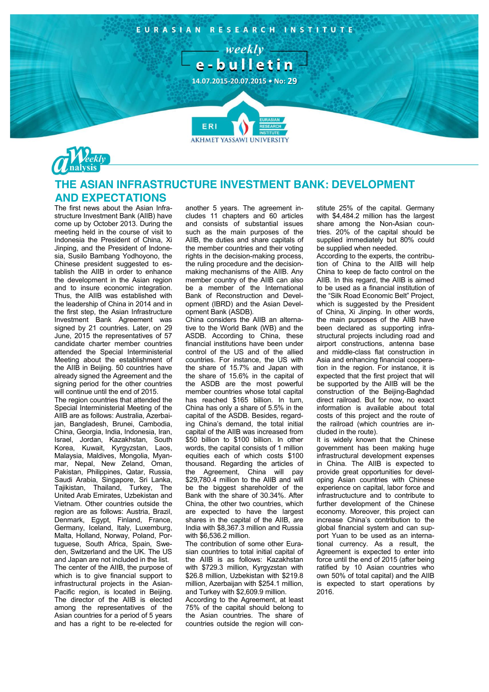



## **THE ASIAN INFRASTRUCTURE INVESTMENT BANK: DEVELOPMENT AND EXPECTATIONS**

The first news about the Asian Infrastructure Investment Bank (AIIB) have come up by October 2013. During the meeting held in the course of visit to Indonesia the President of China, Xi Jinping, and the President of Indonesia, Susilo Bambang Yodhoyono, the Chinese president suggested to establish the AIIB in order to enhance the development in the Asian region and to insure economic integration. Thus, the AIIB was established with the leadership of China in 2014 and in the first step, the Asian Infrastructure Investment Bank Agreement was signed by 21 countries. Later, on 29 June, 2015 the representatives of 57 candidate charter member countries attended the Special Interministerial Meeting about the establishment of the AIIB in Beijing. 50 countries have already signed the Agreement and the signing period for the other countries will continue until the end of 2015.

The region countries that attended the Special Interministerial Meeting of the AIIB are as follows: Australia, Azerbaijan, Bangladesh, Brunei, Cambodia, China, Georgia, India, Indonesia, Iran, Israel, Jordan, Kazakhstan, South Korea, Kuwait, Kyrgyzstan, Laos, Malaysia, Maldives, Mongolia, Myanmar, Nepal, New Zeland, Oman, Pakistan, Philippines, Qatar, Russia, Saudi Arabia, Singapore, Sri Lanka, Tajikistan, Thailand, Turkey, The United Arab Emirates, Uzbekistan and Vietnam. Other countries outside the region are as follows: Austria, Brazil, Denmark, Egypt, Finland, France, Germany, Iceland, Italy, Luxemburg, Malta, Holland, Norway, Poland, Portuguese, South Africa, Spain, Sweden, Switzerland and the UK. The US and Japan are not included in the list. The center of the AIIB, the purpose of which is to give financial support to infrastructural projects in the Asian-Pacific region, is located in Beijing. The director of the AIIB is elected among the representatives of the Asian countries for a period of 5 years and has a right to be re-elected for

another 5 years. The agreement includes 11 chapters and 60 articles and consists of substantial issues such as the main purposes of the AIIB, the duties and share capitals of the member countries and their voting rights in the decision-making process, the ruling procedure and the decisionmaking mechanisms of the AIIB. Any member country of the AIIB can also be a member of the International Bank of Reconstruction and Development (IBRD) and the Asian Development Bank (ASDB).

China considers the AIIB an alternative to the World Bank (WB) and the ASDB. According to China, these financial institutions have been under control of the US and of the allied countries. For instance, the US with the share of 15.7% and Japan with the share of 15.6% in the capital of the ASDB are the most powerful member countries whose total capital has reached \$165 billion. In turn, China has only a share of 5.5% in the capital of the ASDB. Besides, regarding China's demand, the total initial capital of the AIIB was increased from \$50 billion to \$100 billion. In other words, the capital consists of 1 million equities each of which costs \$100 thousand. Regarding the articles of the Agreement, China will pay \$29,780.4 million to the AIIB and will be the biggest shareholder of the Bank with the share of 30.34%. After China, the other two countries, which are expected to have the largest shares in the capital of the AIIB, are India with \$8,367.3 million and Russia with \$6,536.2 million.

The contribution of some other Eurasian countries to total initial capital of the AIIB is as follows: Kazakhstan with \$729.3 million, Kyrgyzstan with \$26.8 million, Uzbekistan with \$219.8 million, Azerbaijan with \$254.1 million. and Turkey with \$2,609.9 million.

According to the Agreement, at least 75% of the capital should belong to the Asian countries. The share of countries outside the region will constitute 25% of the capital. Germany with \$4,484.2 million has the largest share among the Non-Asian countries. 20% of the capital should be supplied immediately but 80% could be supplied when needed.

According to the experts, the contribution of China to the AIIB will help China to keep de facto control on the AIIB. In this regard, the AIIB is aimed to be used as a financial institution of the "Silk Road Economic Belt" Project, which is suggested by the President of China, Xi Jinping. In other words, the main purposes of the AIIB have been declared as supporting infrastructural projects including road and airport constructions, antenna base and middle-class flat construction in Asia and enhancing financial cooperation in the region. For instance, it is expected that the first project that will be supported by the AIIB will be the construction of the Beijing-Baghdad direct railroad. But for now, no exact information is available about total costs of this project and the route of the railroad (which countries are included in the route).

It is widely known that the Chinese government has been making huge infrastructural development expenses in China. The AIIB is expected to provide great opportunities for developing Asian countries with Chinese experience on capital, labor force and infrastructucture and to contribute to further development of the Chinese economy. Moreover, this project can increase China's contribution to the global financial system and can support Yuan to be used as an international currency. As a result, the Agreement is expected to enter into force until the end of 2015 (after being ratified by 10 Asian countries who own 50% of total capital) and the AIIB is expected to start operations by 2016.